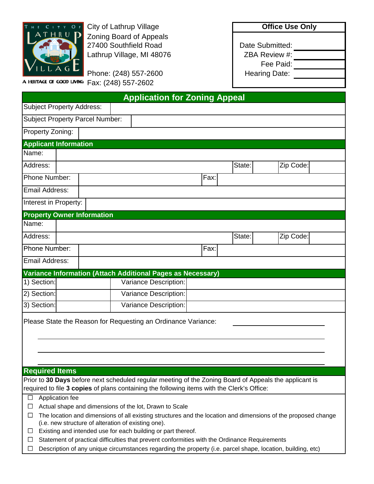

City of Lathrup Village **City of Lathrup Village Office Use Only** Zoning Board of Appeals 27400 Southfield Road Date Submitted: Lathrup Village, MI 48076 **ZBA Review #:** 

Phone: (248) 557-2600 **Hearing Date:** A HERITAGE OF GOOD LIVING Fax: (248) 557-2602

Fee Paid:

| <b>Application for Zoning Appeal</b>                                                                                                                                      |                       |      |        |           |  |  |  |  |
|---------------------------------------------------------------------------------------------------------------------------------------------------------------------------|-----------------------|------|--------|-----------|--|--|--|--|
| <b>Subject Property Address:</b>                                                                                                                                          |                       |      |        |           |  |  |  |  |
| <b>Subject Property Parcel Number:</b>                                                                                                                                    |                       |      |        |           |  |  |  |  |
| Property Zoning:                                                                                                                                                          |                       |      |        |           |  |  |  |  |
| <b>Applicant Information</b>                                                                                                                                              |                       |      |        |           |  |  |  |  |
| Name:                                                                                                                                                                     |                       |      |        |           |  |  |  |  |
| Address:                                                                                                                                                                  |                       |      | State: | Zip Code: |  |  |  |  |
| Phone Number:<br>Fax:                                                                                                                                                     |                       |      |        |           |  |  |  |  |
| Email Address:                                                                                                                                                            |                       |      |        |           |  |  |  |  |
| Interest in Property:                                                                                                                                                     |                       |      |        |           |  |  |  |  |
| <b>Property Owner Information</b>                                                                                                                                         |                       |      |        |           |  |  |  |  |
| Name:                                                                                                                                                                     |                       |      |        |           |  |  |  |  |
| Address:                                                                                                                                                                  |                       |      | State: | Zip Code: |  |  |  |  |
| Phone Number:                                                                                                                                                             |                       | Fax: |        |           |  |  |  |  |
| Email Address:                                                                                                                                                            |                       |      |        |           |  |  |  |  |
| Variance Information (Attach Additional Pages as Necessary)                                                                                                               |                       |      |        |           |  |  |  |  |
| 1) Section:                                                                                                                                                               | Variance Description: |      |        |           |  |  |  |  |
| 2) Section:                                                                                                                                                               | Variance Description: |      |        |           |  |  |  |  |
| 3) Section:                                                                                                                                                               | Variance Description: |      |        |           |  |  |  |  |
| Please State the Reason for Requesting an Ordinance Variance:                                                                                                             |                       |      |        |           |  |  |  |  |
| <b>Required Items</b>                                                                                                                                                     |                       |      |        |           |  |  |  |  |
| Prior to 30 Days before next scheduled regular meeting of the Zoning Board of Appeals the applicant is                                                                    |                       |      |        |           |  |  |  |  |
| required to file 3 copies of plans containing the following items with the Clerk's Office:                                                                                |                       |      |        |           |  |  |  |  |
| Application fee<br>$\Box$                                                                                                                                                 |                       |      |        |           |  |  |  |  |
| Actual shape and dimensions of the lot, Drawn to Scale<br>$\Box$                                                                                                          |                       |      |        |           |  |  |  |  |
| The location and dimensions of all existing structures and the location and dimensions of the proposed change<br>ப<br>(i.e. new structure of alteration of existing one). |                       |      |        |           |  |  |  |  |
| Existing and intended use for each building or part thereof.<br>ப                                                                                                         |                       |      |        |           |  |  |  |  |
| Statement of practical difficulties that prevent conformities with the Ordinance Requirements<br>⊔                                                                        |                       |      |        |           |  |  |  |  |
| Description of any unique circumstances regarding the property (i.e. parcel shape, location, building, etc)<br>ப                                                          |                       |      |        |           |  |  |  |  |